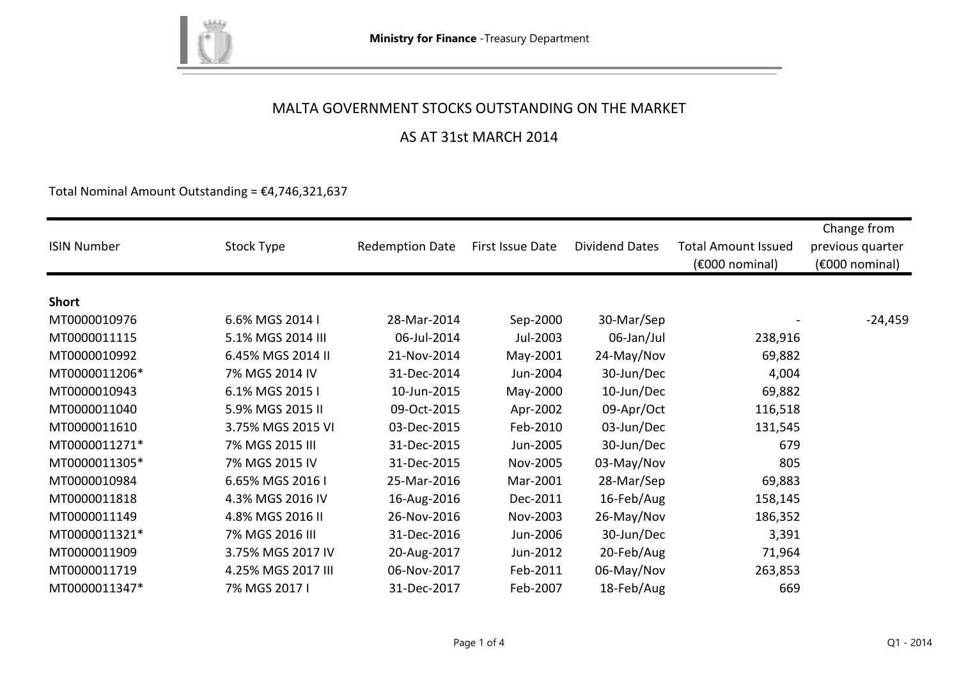

## AS AT 31st MARCH 2014

Total Nominal Amount Outstanding =  $£4,746,321,637$ 

| <b>ISIN Number</b> | Stock Type         | <b>Redemption Date</b> | First Issue Date | <b>Dividend Dates</b> | <b>Total Amount Issued</b><br>$(6000)$ nominal) | Change from<br>previous quarter<br>(€000 nominal) |
|--------------------|--------------------|------------------------|------------------|-----------------------|-------------------------------------------------|---------------------------------------------------|
|                    |                    |                        |                  |                       |                                                 |                                                   |
| <b>Short</b>       |                    |                        |                  |                       |                                                 |                                                   |
| MT0000010976       | 6.6% MGS 2014 I    | 28-Mar-2014            | Sep-2000         | 30-Mar/Sep            |                                                 | $-24,459$                                         |
| MT0000011115       | 5.1% MGS 2014 III  | 06-Jul-2014            | Jul-2003         | 06-Jan/Jul            | 238,916                                         |                                                   |
| MT0000010992       | 6.45% MGS 2014 II  | 21-Nov-2014            | May-2001         | 24-May/Nov            | 69,882                                          |                                                   |
| MT0000011206*      | 7% MGS 2014 IV     | 31-Dec-2014            | Jun-2004         | 30-Jun/Dec            | 4,004                                           |                                                   |
| MT0000010943       | 6.1% MGS 2015 I    | 10-Jun-2015            | May-2000         | 10-Jun/Dec            | 69,882                                          |                                                   |
| MT0000011040       | 5.9% MGS 2015 II   | 09-Oct-2015            | Apr-2002         | 09-Apr/Oct            | 116,518                                         |                                                   |
| MT0000011610       | 3.75% MGS 2015 VI  | 03-Dec-2015            | Feb-2010         | 03-Jun/Dec            | 131,545                                         |                                                   |
| MT0000011271*      | 7% MGS 2015 III    | 31-Dec-2015            | Jun-2005         | 30-Jun/Dec            | 679                                             |                                                   |
| MT0000011305*      | 7% MGS 2015 IV     | 31-Dec-2015            | Nov-2005         | 03-May/Nov            | 805                                             |                                                   |
| MT0000010984       | 6.65% MGS 2016 I   | 25-Mar-2016            | Mar-2001         | 28-Mar/Sep            | 69,883                                          |                                                   |
| MT0000011818       | 4.3% MGS 2016 IV   | 16-Aug-2016            | Dec-2011         | 16-Feb/Aug            | 158,145                                         |                                                   |
| MT0000011149       | 4.8% MGS 2016 II   | 26-Nov-2016            | Nov-2003         | 26-May/Nov            | 186,352                                         |                                                   |
| MT0000011321*      | 7% MGS 2016 III    | 31-Dec-2016            | Jun-2006         | 30-Jun/Dec            | 3,391                                           |                                                   |
| MT0000011909       | 3.75% MGS 2017 IV  | 20-Aug-2017            | Jun-2012         | 20-Feb/Aug            | 71,964                                          |                                                   |
| MT0000011719       | 4.25% MGS 2017 III | 06-Nov-2017            | Feb-2011         | 06-May/Nov            | 263,853                                         |                                                   |
| MT0000011347*      | 7% MGS 2017 I      | 31-Dec-2017            | Feb-2007         | 18-Feb/Aug            | 669                                             |                                                   |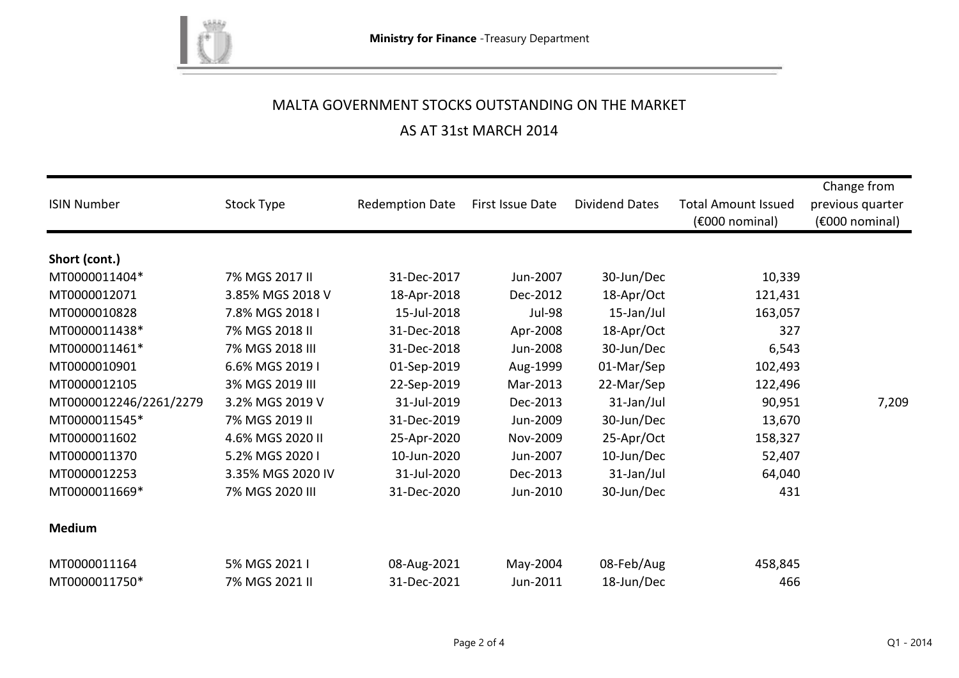

#### AS AT 31st MARCH 2014

| <b>ISIN Number</b>     | Stock Type        | <b>Redemption Date</b> | First Issue Date | <b>Dividend Dates</b> | <b>Total Amount Issued</b><br>$(6000)$ nominal) | Change from<br>previous quarter<br>$(6000)$ nominal) |
|------------------------|-------------------|------------------------|------------------|-----------------------|-------------------------------------------------|------------------------------------------------------|
|                        |                   |                        |                  |                       |                                                 |                                                      |
| Short (cont.)          | 7% MGS 2017 II    |                        |                  |                       |                                                 |                                                      |
| MT0000011404*          |                   | 31-Dec-2017            | Jun-2007         | 30-Jun/Dec            | 10,339                                          |                                                      |
| MT0000012071           | 3.85% MGS 2018 V  | 18-Apr-2018            | Dec-2012         | 18-Apr/Oct            | 121,431                                         |                                                      |
| MT0000010828           | 7.8% MGS 2018 I   | 15-Jul-2018            | <b>Jul-98</b>    | 15-Jan/Jul            | 163,057                                         |                                                      |
| MT0000011438*          | 7% MGS 2018 II    | 31-Dec-2018            | Apr-2008         | 18-Apr/Oct            | 327                                             |                                                      |
| MT0000011461*          | 7% MGS 2018 III   | 31-Dec-2018            | Jun-2008         | 30-Jun/Dec            | 6,543                                           |                                                      |
| MT0000010901           | 6.6% MGS 2019 I   | 01-Sep-2019            | Aug-1999         | 01-Mar/Sep            | 102,493                                         |                                                      |
| MT0000012105           | 3% MGS 2019 III   | 22-Sep-2019            | Mar-2013         | 22-Mar/Sep            | 122,496                                         |                                                      |
| MT0000012246/2261/2279 | 3.2% MGS 2019 V   | 31-Jul-2019            | Dec-2013         | 31-Jan/Jul            | 90,951                                          | 7,209                                                |
| MT0000011545*          | 7% MGS 2019 II    | 31-Dec-2019            | Jun-2009         | 30-Jun/Dec            | 13,670                                          |                                                      |
| MT0000011602           | 4.6% MGS 2020 II  | 25-Apr-2020            | Nov-2009         | 25-Apr/Oct            | 158,327                                         |                                                      |
| MT0000011370           | 5.2% MGS 2020 I   | 10-Jun-2020            | Jun-2007         | 10-Jun/Dec            | 52,407                                          |                                                      |
| MT0000012253           | 3.35% MGS 2020 IV | 31-Jul-2020            | Dec-2013         | 31-Jan/Jul            | 64,040                                          |                                                      |
| MT0000011669*          | 7% MGS 2020 III   | 31-Dec-2020            | Jun-2010         | 30-Jun/Dec            | 431                                             |                                                      |
| <b>Medium</b>          |                   |                        |                  |                       |                                                 |                                                      |
| MT0000011164           | 5% MGS 2021 I     | 08-Aug-2021            | May-2004         | 08-Feb/Aug            | 458,845                                         |                                                      |
| MT0000011750*          | 7% MGS 2021 II    | 31-Dec-2021            | Jun-2011         | 18-Jun/Dec            | 466                                             |                                                      |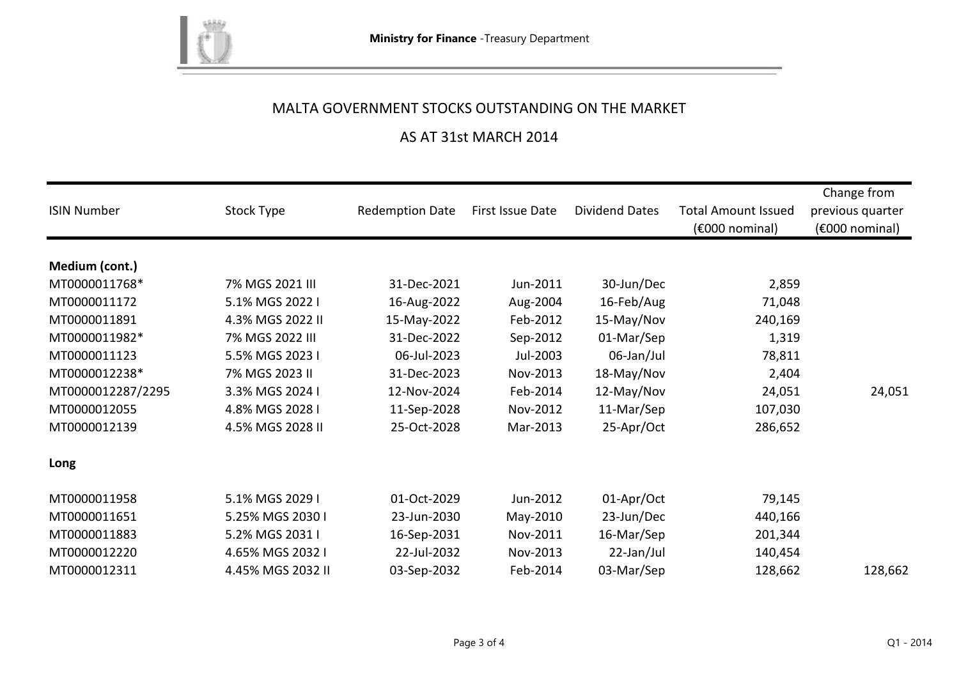

## AS AT 31st MARCH 2014

| <b>ISIN Number</b> | Stock Type        | <b>Redemption Date</b> | First Issue Date | <b>Dividend Dates</b> | <b>Total Amount Issued</b><br>$(6000)$ nominal) | Change from<br>previous quarter<br>$(6000)$ nominal) |
|--------------------|-------------------|------------------------|------------------|-----------------------|-------------------------------------------------|------------------------------------------------------|
| Medium (cont.)     |                   |                        |                  |                       |                                                 |                                                      |
| MT0000011768*      | 7% MGS 2021 III   | 31-Dec-2021            | Jun-2011         | 30-Jun/Dec            | 2,859                                           |                                                      |
| MT0000011172       | 5.1% MGS 2022 I   | 16-Aug-2022            | Aug-2004         | 16-Feb/Aug            | 71,048                                          |                                                      |
| MT0000011891       | 4.3% MGS 2022 II  | 15-May-2022            | Feb-2012         | 15-May/Nov            | 240,169                                         |                                                      |
| MT0000011982*      | 7% MGS 2022 III   | 31-Dec-2022            | Sep-2012         | 01-Mar/Sep            | 1,319                                           |                                                      |
| MT0000011123       | 5.5% MGS 2023 I   | 06-Jul-2023            | Jul-2003         | 06-Jan/Jul            | 78,811                                          |                                                      |
| MT0000012238*      | 7% MGS 2023 II    | 31-Dec-2023            | Nov-2013         | 18-May/Nov            | 2,404                                           |                                                      |
| MT0000012287/2295  | 3.3% MGS 2024 I   | 12-Nov-2024            | Feb-2014         | 12-May/Nov            | 24,051                                          | 24,051                                               |
| MT0000012055       | 4.8% MGS 2028 I   | 11-Sep-2028            | Nov-2012         | 11-Mar/Sep            | 107,030                                         |                                                      |
| MT0000012139       | 4.5% MGS 2028 II  | 25-Oct-2028            | Mar-2013         | 25-Apr/Oct            | 286,652                                         |                                                      |
| Long               |                   |                        |                  |                       |                                                 |                                                      |
| MT0000011958       | 5.1% MGS 2029 I   | 01-Oct-2029            | Jun-2012         | 01-Apr/Oct            | 79,145                                          |                                                      |
| MT0000011651       | 5.25% MGS 2030 I  | 23-Jun-2030            | May-2010         | 23-Jun/Dec            | 440,166                                         |                                                      |
| MT0000011883       | 5.2% MGS 2031 I   | 16-Sep-2031            | Nov-2011         | 16-Mar/Sep            | 201,344                                         |                                                      |
| MT0000012220       | 4.65% MGS 2032 I  | 22-Jul-2032            | Nov-2013         | 22-Jan/Jul            | 140,454                                         |                                                      |
| MT0000012311       | 4.45% MGS 2032 II | 03-Sep-2032            | Feb-2014         | 03-Mar/Sep            | 128,662                                         | 128,662                                              |